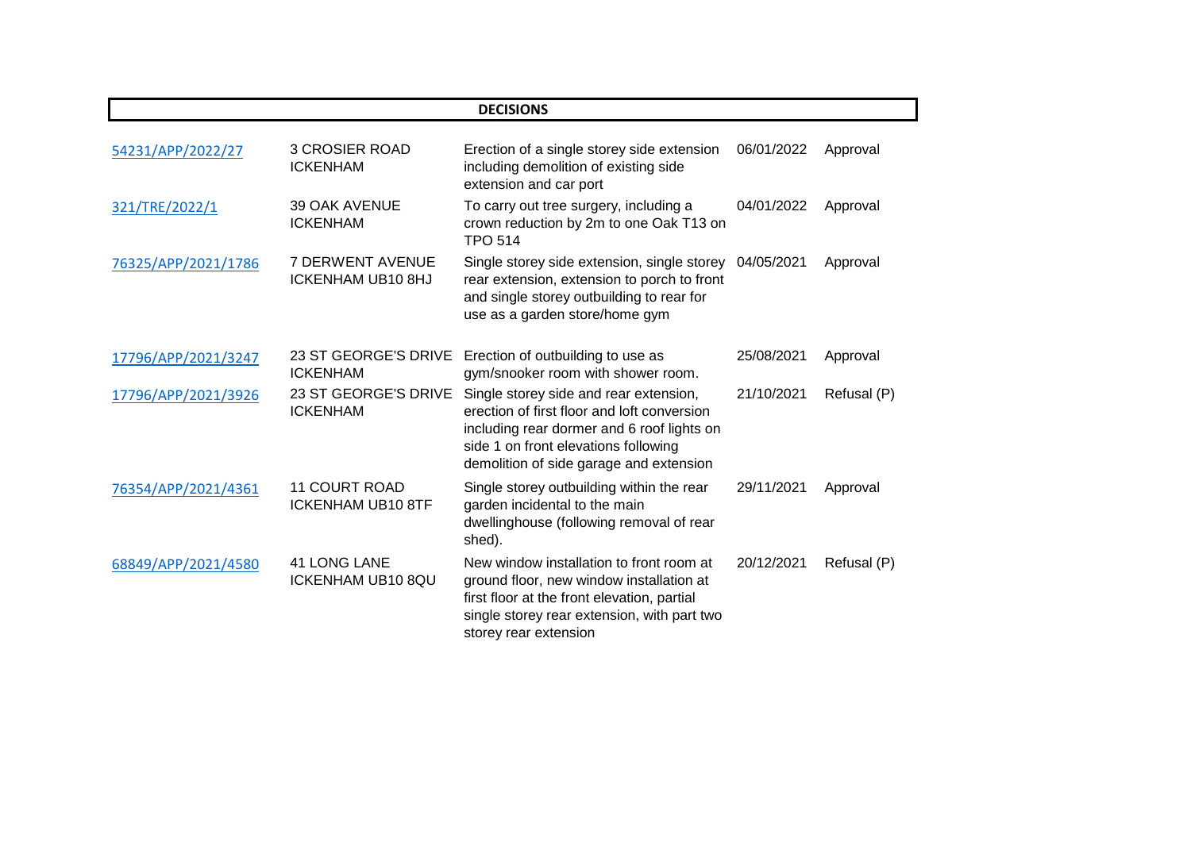| <b>DECISIONS</b>    |                                                     |                                                                                                                                                                                                                        |            |             |  |
|---------------------|-----------------------------------------------------|------------------------------------------------------------------------------------------------------------------------------------------------------------------------------------------------------------------------|------------|-------------|--|
| 54231/APP/2022/27   | <b>3 CROSIER ROAD</b><br><b>ICKENHAM</b>            | Erection of a single storey side extension<br>including demolition of existing side<br>extension and car port                                                                                                          | 06/01/2022 | Approval    |  |
| 321/TRE/2022/1      | <b>39 OAK AVENUE</b><br><b>ICKENHAM</b>             | To carry out tree surgery, including a<br>crown reduction by 2m to one Oak T13 on<br><b>TPO 514</b>                                                                                                                    | 04/01/2022 | Approval    |  |
| 76325/APP/2021/1786 | <b>7 DERWENT AVENUE</b><br><b>ICKENHAM UB10 8HJ</b> | Single storey side extension, single storey<br>rear extension, extension to porch to front<br>and single storey outbuilding to rear for<br>use as a garden store/home gym                                              | 04/05/2021 | Approval    |  |
| 17796/APP/2021/3247 | 23 ST GEORGE'S DRIVE<br><b>ICKENHAM</b>             | Erection of outbuilding to use as<br>gym/snooker room with shower room.                                                                                                                                                | 25/08/2021 | Approval    |  |
| 17796/APP/2021/3926 | 23 ST GEORGE'S DRIVE<br><b>ICKENHAM</b>             | Single storey side and rear extension,<br>erection of first floor and loft conversion<br>including rear dormer and 6 roof lights on<br>side 1 on front elevations following<br>demolition of side garage and extension | 21/10/2021 | Refusal (P) |  |
| 76354/APP/2021/4361 | <b>11 COURT ROAD</b><br><b>ICKENHAM UB10 8TF</b>    | Single storey outbuilding within the rear<br>garden incidental to the main<br>dwellinghouse (following removal of rear<br>shed).                                                                                       | 29/11/2021 | Approval    |  |
| 68849/APP/2021/4580 | <b>41 LONG LANE</b><br><b>ICKENHAM UB10 8QU</b>     | New window installation to front room at<br>ground floor, new window installation at<br>first floor at the front elevation, partial<br>single storey rear extension, with part two<br>storey rear extension            | 20/12/2021 | Refusal (P) |  |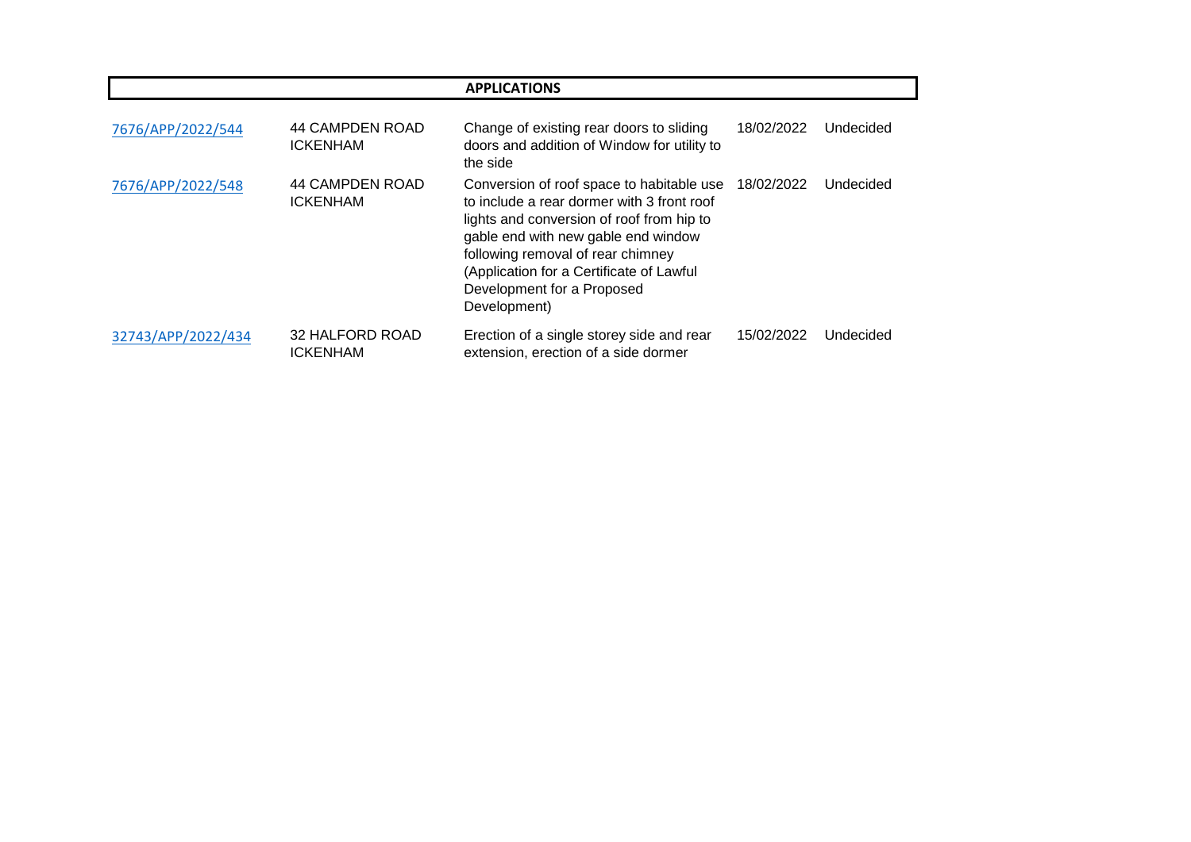| <b>APPLICATIONS</b> |                                    |                                                                                                                                                                                                                                                                                                            |            |           |
|---------------------|------------------------------------|------------------------------------------------------------------------------------------------------------------------------------------------------------------------------------------------------------------------------------------------------------------------------------------------------------|------------|-----------|
| 7676/APP/2022/544   | 44 CAMPDEN ROAD<br><b>ICKENHAM</b> | Change of existing rear doors to sliding<br>doors and addition of Window for utility to<br>the side                                                                                                                                                                                                        | 18/02/2022 | Undecided |
| 7676/APP/2022/548   | 44 CAMPDEN ROAD<br><b>ICKENHAM</b> | Conversion of roof space to habitable use<br>to include a rear dormer with 3 front roof<br>lights and conversion of roof from hip to<br>gable end with new gable end window<br>following removal of rear chimney<br>(Application for a Certificate of Lawful<br>Development for a Proposed<br>Development) | 18/02/2022 | Undecided |
| 32743/APP/2022/434  | 32 HALFORD ROAD<br><b>ICKENHAM</b> | Erection of a single storey side and rear<br>extension, erection of a side dormer                                                                                                                                                                                                                          | 15/02/2022 | Undecided |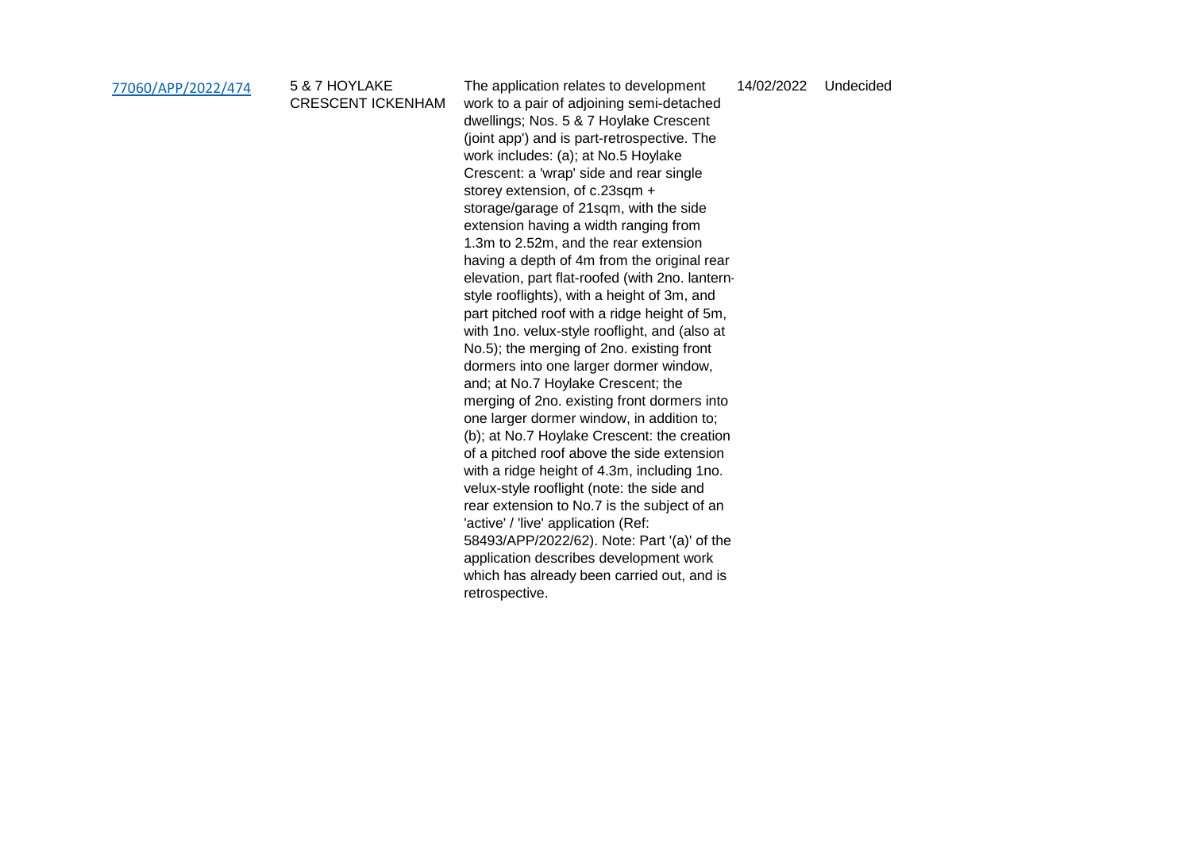| 77060/APP/2022/474 | 5 & 7 HOYLAKE            | The application relates to development          | 14/02/2022 | Undecided |
|--------------------|--------------------------|-------------------------------------------------|------------|-----------|
|                    | <b>CRESCENT ICKENHAM</b> | work to a pair of adjoining semi-detached       |            |           |
|                    |                          | dwellings; Nos. 5 & 7 Hoylake Crescent          |            |           |
|                    |                          | (joint app') and is part-retrospective. The     |            |           |
|                    |                          | work includes: (a); at No.5 Hoylake             |            |           |
|                    |                          | Crescent: a 'wrap' side and rear single         |            |           |
|                    |                          | storey extension, of c.23sqm +                  |            |           |
|                    |                          | storage/garage of 21sqm, with the side          |            |           |
|                    |                          | extension having a width ranging from           |            |           |
|                    |                          | 1.3m to 2.52m, and the rear extension           |            |           |
|                    |                          | having a depth of 4m from the original rear     |            |           |
|                    |                          | elevation, part flat-roofed (with 2no. lantern- |            |           |
|                    |                          | style rooflights), with a height of 3m, and     |            |           |
|                    |                          | part pitched roof with a ridge height of 5m,    |            |           |
|                    |                          | with 1no. velux-style rooflight, and (also at   |            |           |
|                    |                          | No.5); the merging of 2no. existing front       |            |           |
|                    |                          | dormers into one larger dormer window,          |            |           |
|                    |                          | and; at No.7 Hoylake Crescent; the              |            |           |
|                    |                          | merging of 2no. existing front dormers into     |            |           |
|                    |                          | one larger dormer window, in addition to;       |            |           |
|                    |                          | (b); at No.7 Hoylake Crescent: the creation     |            |           |
|                    |                          | of a pitched roof above the side extension      |            |           |
|                    |                          | with a ridge height of 4.3m, including 1no.     |            |           |
|                    |                          | velux-style rooflight (note: the side and       |            |           |
|                    |                          | rear extension to No.7 is the subject of an     |            |           |
|                    |                          | 'active' / 'live' application (Ref:             |            |           |
|                    |                          | 58493/APP/2022/62). Note: Part '(a)' of the     |            |           |
|                    |                          | application describes development work          |            |           |
|                    |                          | which has already been carried out, and is      |            |           |
|                    |                          | retrospective.                                  |            |           |